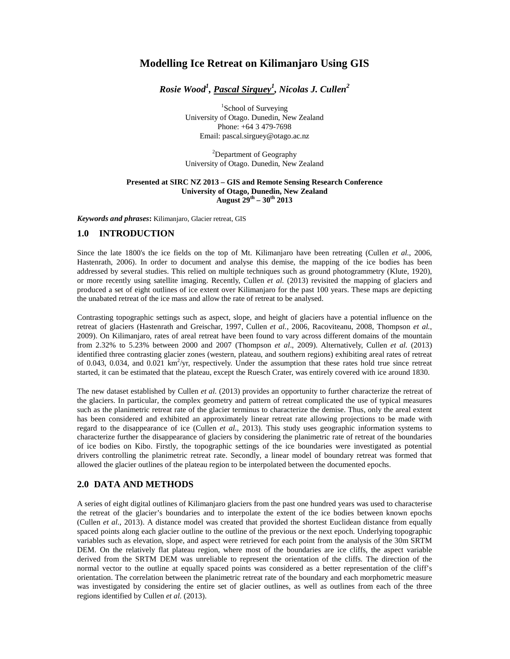# **Modelling Ice Retreat on Kilimanjaro Using GIS**

*Rosie Wood<sup>1</sup> , Pascal Sirguey<sup>1</sup> , Nicolas J. Cullen<sup>2</sup>*

<sup>1</sup>School of Surveying University of Otago. Dunedin, New Zealand Phone: +64 3 479-7698 Email: pascal.sirguey@otago.ac.nz

<sup>2</sup>Department of Geography University of Otago. Dunedin, New Zealand

#### **Presented at SIRC NZ 2013 – GIS and Remote Sensing Research Conference University of Otago, Dunedin, New Zealand August 29th – 30th 2013**

*Keywords and phrases***:** Kilimanjaro, Glacier retreat, GIS

## **1.0 INTRODUCTION**

Since the late 1800's the ice fields on the top of Mt. Kilimanjaro have been retreating (Cullen *et al.*, 2006, Hastenrath, 2006). In order to document and analyse this demise, the mapping of the ice bodies has been addressed by several studies. This relied on multiple techniques such as ground photogrammetry (Klute, 1920), or more recently using satellite imaging. Recently, Cullen *et al.* (2013) revisited the mapping of glaciers and produced a set of eight outlines of ice extent over Kilimanjaro for the past 100 years. These maps are depicting the unabated retreat of the ice mass and allow the rate of retreat to be analysed.

Contrasting topographic settings such as aspect, slope, and height of glaciers have a potential influence on the retreat of glaciers (Hastenrath and Greischar, 1997, Cullen *et al.*, 2006, Racoviteanu, 2008, Thompson *et al.*, 2009). On Kilimanjaro, rates of areal retreat have been found to vary across different domains of the mountain from 2.32% to 5.23% between 2000 and 2007 (Thompson *et al*., 2009). Alternatively, Cullen *et al.* (2013) identified three contrasting glacier zones (western, plateau, and southern regions) exhibiting areal rates of retreat of 0.043, 0.034, and 0.021  $km^2$ /yr, respectively. Under the assumption that these rates hold true since retreat started, it can be estimated that the plateau, except the Ruesch Crater, was entirely covered with ice around 1830.

The new dataset established by Cullen *et al.* (2013) provides an opportunity to further characterize the retreat of the glaciers. In particular, the complex geometry and pattern of retreat complicated the use of typical measures such as the planimetric retreat rate of the glacier terminus to characterize the demise. Thus, only the areal extent has been considered and exhibited an approximately linear retreat rate allowing projections to be made with regard to the disappearance of ice (Cullen *et al.*, 2013). This study uses geographic information systems to characterize further the disappearance of glaciers by considering the planimetric rate of retreat of the boundaries of ice bodies on Kibo. Firstly, the topographic settings of the ice boundaries were investigated as potential drivers controlling the planimetric retreat rate. Secondly, a linear model of boundary retreat was formed that allowed the glacier outlines of the plateau region to be interpolated between the documented epochs.

### **2.0 DATA AND METHODS**

A series of eight digital outlines of Kilimanjaro glaciers from the past one hundred years was used to characterise the retreat of the glacier's boundaries and to interpolate the extent of the ice bodies between known epochs (Cullen *et al.*, 2013). A distance model was created that provided the shortest Euclidean distance from equally spaced points along each glacier outline to the outline of the previous or the next epoch. Underlying topographic variables such as elevation, slope, and aspect were retrieved for each point from the analysis of the 30m SRTM DEM. On the relatively flat plateau region, where most of the boundaries are ice cliffs, the aspect variable derived from the SRTM DEM was unreliable to represent the orientation of the cliffs. The direction of the normal vector to the outline at equally spaced points was considered as a better representation of the cliff's orientation. The correlation between the planimetric retreat rate of the boundary and each morphometric measure was investigated by considering the entire set of glacier outlines, as well as outlines from each of the three regions identified by Cullen *et al.* (2013).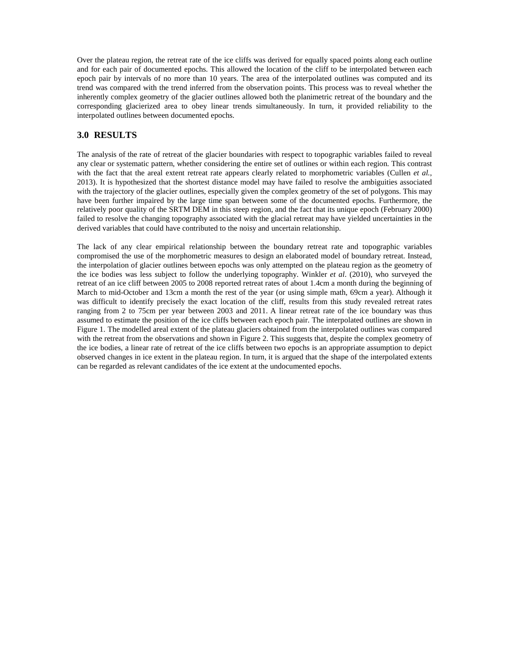Over the plateau region, the retreat rate of the ice cliffs was derived for equally spaced points along each outline and for each pair of documented epochs. This allowed the location of the cliff to be interpolated between each epoch pair by intervals of no more than 10 years. The area of the interpolated outlines was computed and its trend was compared with the trend inferred from the observation points. This process was to reveal whether the inherently complex geometry of the glacier outlines allowed both the planimetric retreat of the boundary and the corresponding glacierized area to obey linear trends simultaneously. In turn, it provided reliability to the interpolated outlines between documented epochs.

# **3.0 RESULTS**

The analysis of the rate of retreat of the glacier boundaries with respect to topographic variables failed to reveal any clear or systematic pattern, whether considering the entire set of outlines or within each region. This contrast with the fact that the areal extent retreat rate appears clearly related to morphometric variables (Cullen *et al.*, 2013). It is hypothesized that the shortest distance model may have failed to resolve the ambiguities associated with the trajectory of the glacier outlines, especially given the complex geometry of the set of polygons. This may have been further impaired by the large time span between some of the documented epochs. Furthermore, the relatively poor quality of the SRTM DEM in this steep region, and the fact that its unique epoch (February 2000) failed to resolve the changing topography associated with the glacial retreat may have yielded uncertainties in the derived variables that could have contributed to the noisy and uncertain relationship.

The lack of any clear empirical relationship between the boundary retreat rate and topographic variables compromised the use of the morphometric measures to design an elaborated model of boundary retreat. Instead, the interpolation of glacier outlines between epochs was only attempted on the plateau region as the geometry of the ice bodies was less subject to follow the underlying topography. Winkler *et al*. (2010), who surveyed the retreat of an ice cliff between 2005 to 2008 reported retreat rates of about 1.4cm a month during the beginning of March to mid-October and 13cm a month the rest of the year (or using simple math, 69cm a year). Although it was difficult to identify precisely the exact location of the cliff, results from this study revealed retreat rates ranging from 2 to 75cm per year between 2003 and 2011. A linear retreat rate of the ice boundary was thus assumed to estimate the position of the ice cliffs between each epoch pair. The interpolated outlines are shown in Figure 1. The modelled areal extent of the plateau glaciers obtained from the interpolated outlines was compared with the retreat from the observations and shown in Figure 2. This suggests that, despite the complex geometry of the ice bodies, a linear rate of retreat of the ice cliffs between two epochs is an appropriate assumption to depict observed changes in ice extent in the plateau region. In turn, it is argued that the shape of the interpolated extents can be regarded as relevant candidates of the ice extent at the undocumented epochs.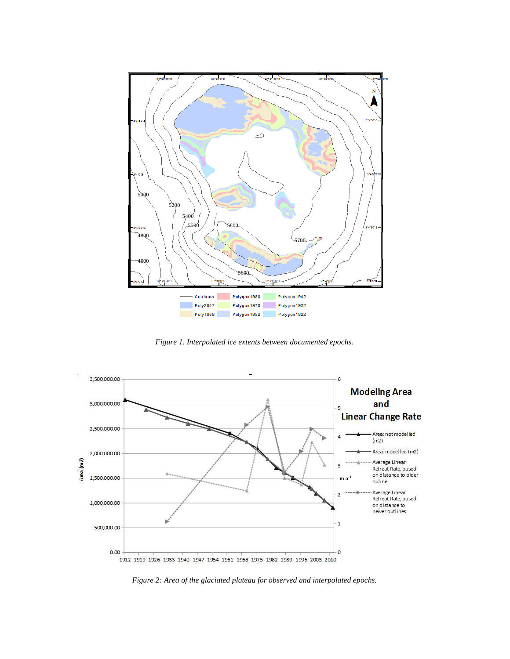

*Figure 1. Interpolated ice extents between documented epochs.*



*Figure 2: Area of the glaciated plateau for observed and interpolated epochs.*